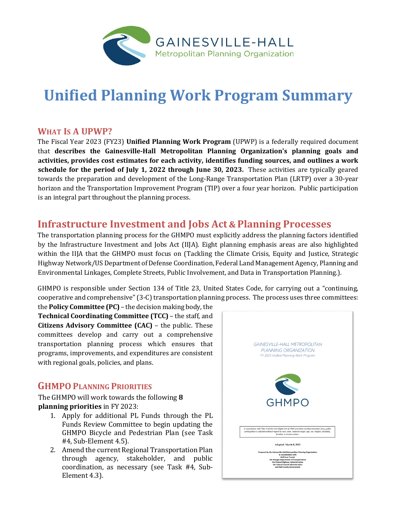

## **Unified Planning Work Program Summary**

## **WHAT IS A UPWP?**

The Fiscal Year 2023 (FY23) **Unified Planning Work Program** (UPWP) is a federally required document that **describes the Gainesville-Hall Metropolitan Planning Organization's planning goals and activities, provides cost estimates for each activity, identifies funding sources, and outlines a work schedule for the period of July 1, 2022 through June 30, 2023.** These activities are typically geared towards the preparation and development of the Long-Range Transportation Plan (LRTP) over a 30-year horizon and the Transportation Improvement Program (TIP) over a four year horizon. Public participation is an integral part throughout the planning process.

## **Infrastructure Investment and Jobs Act & Planning Processes**

The transportation planning process for the GHMPO must explicitly address the planning factors identified by the Infrastructure Investment and Jobs Act (IIJA). Eight planning emphasis areas are also highlighted within the IIJA that the GHMPO must focus on (Tackling the Climate Crisis, Equity and Justice, Strategic Highway Network/US Department of Defense Coordination, Federal Land Management Agency, Planning and Environmental Linkages, Complete Streets, Public Involvement, and Data in Transportation Planning.).

GHMPO is responsible under Section 134 of Title 23, United States Code, for carrying out a "continuing, cooperative and comprehensive" (3-C) transportation planning process. The process uses three committees:

the **Policy Committee (PC)** – the decision making body, the **Technical Coordinating Committee (TCC)** – the staff, and **Citizens Advisory Committee (CAC)** – the public. These committees develop and carry out a comprehensive transportation planning process which ensures that programs, improvements, and expenditures are consistent with regional goals, policies, and plans.

## **GHMPO PLANNING PRIORITIES**

The GHMPO will work towards the following **8 planning priorities** in FY 2023:

- 1. Apply for additional PL Funds through the PL Funds Review Committee to begin updating the GHMPO Bicycle and Pedestrian Plan (see Task #4, Sub-Element 4.5).
- 2. Amend the current Regional Transportation Plan through agency, stakeholder, and public coordination, as necessary (see Task #4, Sub-Element 4.3).